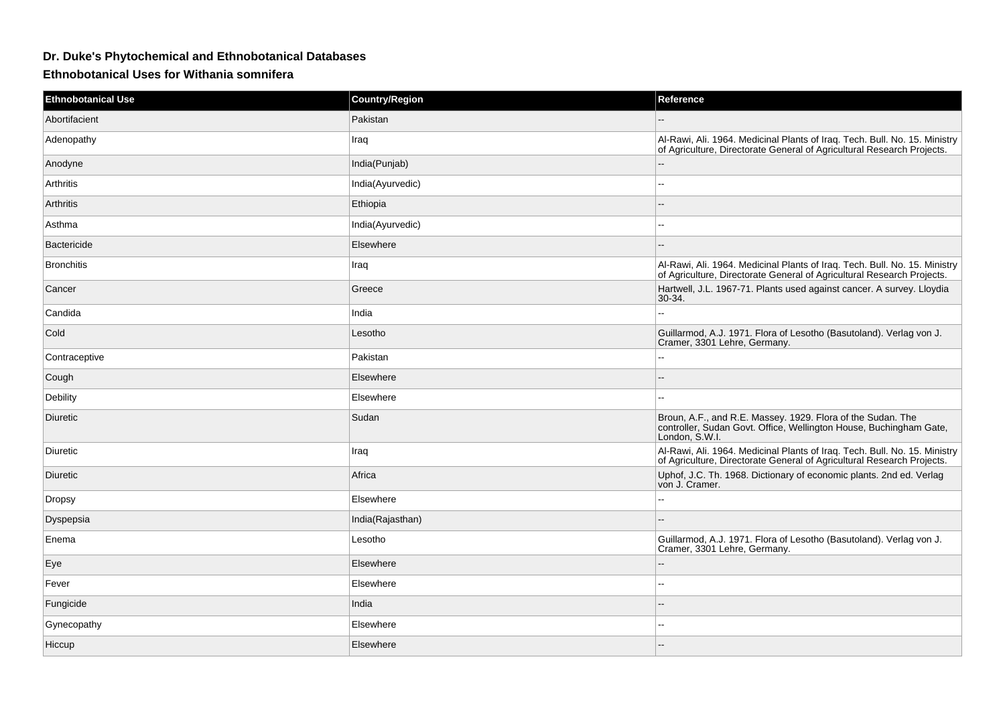## **Dr. Duke's Phytochemical and Ethnobotanical Databases**

## **Ethnobotanical Uses for Withania somnifera**

| <b>Ethnobotanical Use</b> | <b>Country/Region</b> | Reference                                                                                                                                            |
|---------------------------|-----------------------|------------------------------------------------------------------------------------------------------------------------------------------------------|
| Abortifacient             | Pakistan              |                                                                                                                                                      |
| Adenopathy                | Iraq                  | Al-Rawi, Ali. 1964. Medicinal Plants of Iraq. Tech. Bull. No. 15. Ministry<br>of Agriculture, Directorate General of Agricultural Research Projects. |
| Anodyne                   | India(Punjab)         | ۵.                                                                                                                                                   |
| Arthritis                 | India(Ayurvedic)      | --                                                                                                                                                   |
| Arthritis                 | Ethiopia              | $\overline{\phantom{a}}$                                                                                                                             |
| Asthma                    | India(Ayurvedic)      | --                                                                                                                                                   |
| <b>Bactericide</b>        | Elsewhere             |                                                                                                                                                      |
| <b>Bronchitis</b>         | Iraq                  | Al-Rawi, Ali. 1964. Medicinal Plants of Iraq. Tech. Bull. No. 15. Ministry<br>of Agriculture, Directorate General of Agricultural Research Projects. |
| Cancer                    | Greece                | Hartwell, J.L. 1967-71. Plants used against cancer. A survey. Lloydia<br>30-34.                                                                      |
| Candida                   | India                 | 44                                                                                                                                                   |
| Cold                      | Lesotho               | Guillarmod, A.J. 1971. Flora of Lesotho (Basutoland). Verlag von J.<br>Cramer, 3301 Lehre, Germany.                                                  |
| Contraceptive             | Pakistan              | --                                                                                                                                                   |
| Cough                     | Elsewhere             |                                                                                                                                                      |
| Debility                  | Elsewhere             | $\overline{a}$                                                                                                                                       |
| Diuretic                  | Sudan                 | Broun, A.F., and R.E. Massey. 1929. Flora of the Sudan. The<br>controller, Sudan Govt. Office, Wellington House, Buchingham Gate,<br>London, S.W.I.  |
| Diuretic                  | Iraq                  | Al-Rawi, Ali. 1964. Medicinal Plants of Iraq. Tech. Bull. No. 15. Ministry<br>of Agriculture, Directorate General of Agricultural Research Projects. |
| Diuretic                  | Africa                | Uphof, J.C. Th. 1968. Dictionary of economic plants. 2nd ed. Verlag<br>von J. Cramer.                                                                |
| <b>Dropsy</b>             | Elsewhere             | $\overline{\phantom{a}}$                                                                                                                             |
| Dyspepsia                 | India(Rajasthan)      | $-$                                                                                                                                                  |
| Enema                     | Lesotho               | Guillarmod, A.J. 1971. Flora of Lesotho (Basutoland). Verlag von J.<br>Cramer, 3301 Lehre, Germany.                                                  |
| Eye                       | Elsewhere             | --                                                                                                                                                   |
| Fever                     | Elsewhere             | ۵۵                                                                                                                                                   |
| Fungicide                 | India                 |                                                                                                                                                      |
| Gynecopathy               | Elsewhere             | $\overline{a}$                                                                                                                                       |
| Hiccup                    | Elsewhere             |                                                                                                                                                      |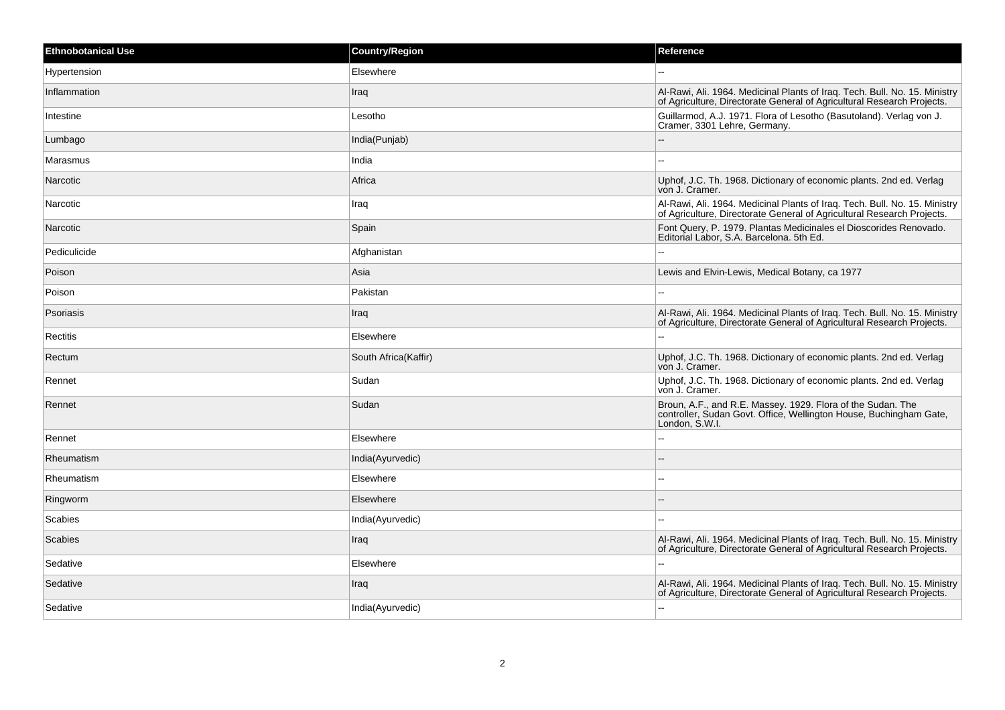| <b>Ethnobotanical Use</b> | <b>Country/Region</b> | Reference                                                                                                                                            |
|---------------------------|-----------------------|------------------------------------------------------------------------------------------------------------------------------------------------------|
| Hypertension              | Elsewhere             |                                                                                                                                                      |
| Inflammation              | Iraq                  | Al-Rawi, Ali. 1964. Medicinal Plants of Iraq. Tech. Bull. No. 15. Ministry<br>of Agriculture, Directorate General of Agricultural Research Projects. |
| Intestine                 | Lesotho               | Guillarmod, A.J. 1971. Flora of Lesotho (Basutoland). Verlag von J.<br>Cramer, 3301 Lehre, Germany.                                                  |
| Lumbago                   | India(Punjab)         |                                                                                                                                                      |
| Marasmus                  | India                 | $\overline{a}$                                                                                                                                       |
| Narcotic                  | Africa                | Uphof, J.C. Th. 1968. Dictionary of economic plants. 2nd ed. Verlag<br>von J. Cramer.                                                                |
| Narcotic                  | Iraq                  | Al-Rawi, Ali. 1964. Medicinal Plants of Iraq. Tech. Bull. No. 15. Ministry<br>of Agriculture, Directorate General of Agricultural Research Projects. |
| Narcotic                  | Spain                 | Font Query, P. 1979. Plantas Medicinales el Dioscorides Renovado.<br>Editorial Labor, S.A. Barcelona. 5th Ed.                                        |
| Pediculicide              | Afghanistan           |                                                                                                                                                      |
| Poison                    | Asia                  | Lewis and Elvin-Lewis, Medical Botany, ca 1977                                                                                                       |
| Poison                    | Pakistan              |                                                                                                                                                      |
| Psoriasis                 | Iraq                  | Al-Rawi, Ali. 1964. Medicinal Plants of Iraq. Tech. Bull. No. 15. Ministry<br>of Agriculture, Directorate General of Agricultural Research Projects. |
| Rectitis                  | Elsewhere             | ۵.                                                                                                                                                   |
| Rectum                    | South Africa(Kaffir)  | Uphof, J.C. Th. 1968. Dictionary of economic plants. 2nd ed. Verlag<br>von J. Cramer.                                                                |
| Rennet                    | Sudan                 | Uphof, J.C. Th. 1968. Dictionary of economic plants. 2nd ed. Verlag<br>von J. Cramer.                                                                |
| Rennet                    | Sudan                 | Broun, A.F., and R.E. Massey. 1929. Flora of the Sudan. The<br>controller, Sudan Govt. Office, Wellington House, Buchingham Gate,<br>London, S.W.I.  |
| Rennet                    | Elsewhere             |                                                                                                                                                      |
| Rheumatism                | India(Ayurvedic)      |                                                                                                                                                      |
| Rheumatism                | Elsewhere             | ۵.                                                                                                                                                   |
| Ringworm                  | Elsewhere             |                                                                                                                                                      |
| Scabies                   | India(Ayurvedic)      | $\overline{a}$                                                                                                                                       |
| Scabies                   | Iraq                  | Al-Rawi, Ali. 1964. Medicinal Plants of Iraq. Tech. Bull. No. 15. Ministry<br>of Agriculture, Directorate General of Agricultural Research Projects. |
| Sedative                  | Elsewhere             |                                                                                                                                                      |
| Sedative                  | Iraq                  | Al-Rawi, Ali. 1964. Medicinal Plants of Iraq. Tech. Bull. No. 15. Ministry<br>of Agriculture, Directorate General of Agricultural Research Projects. |
| Sedative                  | India(Ayurvedic)      |                                                                                                                                                      |